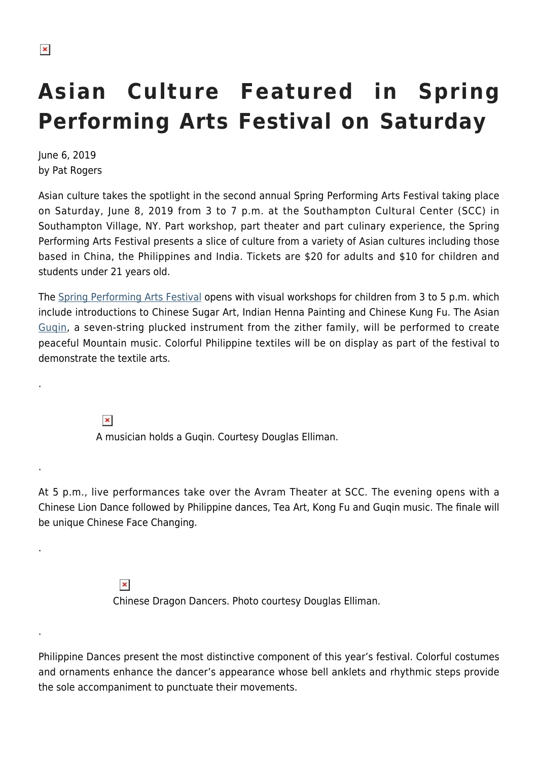.

.

.

.

## **Asian Culture Featured in Spring Performing Arts Festival on Saturday**

June 6, 2019 by Pat Rogers

Asian culture takes the spotlight in the second annual Spring Performing Arts Festival taking place on Saturday, June 8, 2019 from 3 to 7 p.m. at the Southampton Cultural Center (SCC) in Southampton Village, NY. Part workshop, part theater and part culinary experience, the Spring Performing Arts Festival presents a slice of culture from a variety of Asian cultures including those based in China, the Philippines and India. Tickets are \$20 for adults and \$10 for children and students under 21 years old.

The [Spring Performing Arts Festival](https://web.ovationtix.com/trs/pe.c/10405420) opens with visual workshops for children from 3 to 5 p.m. which include introductions to Chinese Sugar Art, Indian Henna Painting and Chinese Kung Fu. The Asian [Guqin](https://en.wikipedia.org/wiki/Guqin), a seven-string plucked instrument from the zither family, will be performed to create peaceful Mountain music. Colorful Philippine textiles will be on display as part of the festival to demonstrate the textile arts.

> $\pmb{\times}$ A musician holds a Guqin. Courtesy Douglas Elliman.

At 5 p.m., live performances take over the Avram Theater at SCC. The evening opens with a Chinese Lion Dance followed by Philippine dances, Tea Art, Kong Fu and Guqin music. The finale will be unique Chinese Face Changing.

> $\pmb{\times}$ Chinese Dragon Dancers. Photo courtesy Douglas Elliman.

Philippine Dances present the most distinctive component of this year's festival. Colorful costumes and ornaments enhance the dancer's appearance whose bell anklets and rhythmic steps provide the sole accompaniment to punctuate their movements.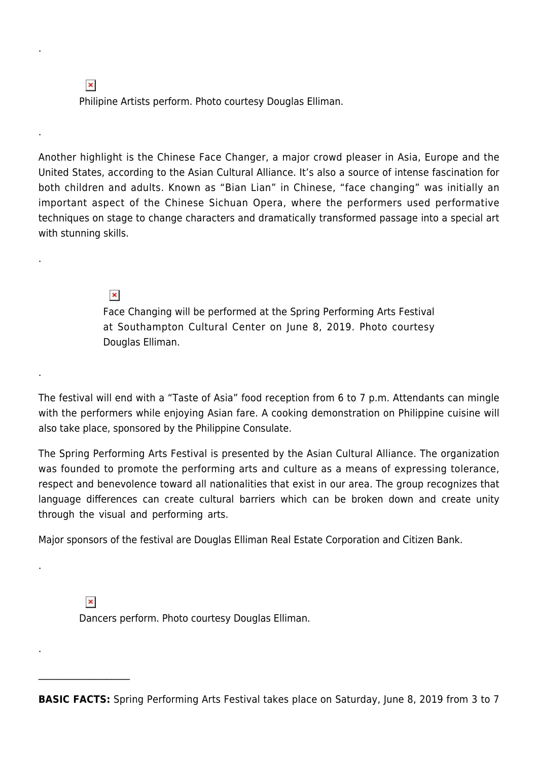$\pmb{\times}$ Philipine Artists perform. Photo courtesy Douglas Elliman.

Another highlight is the Chinese Face Changer, a major crowd pleaser in Asia, Europe and the United States, according to the Asian Cultural Alliance. It's also a source of intense fascination for both children and adults. Known as "Bian Lian" in Chinese, "face changing" was initially an important aspect of the Chinese Sichuan Opera, where the performers used performative techniques on stage to change characters and dramatically transformed passage into a special art with stunning skills.

> $\pmb{\times}$ Face Changing will be performed at the Spring Performing Arts Festival at Southampton Cultural Center on June 8, 2019. Photo courtesy Douglas Elliman.

The festival will end with a "Taste of Asia" food reception from 6 to 7 p.m. Attendants can mingle with the performers while enjoying Asian fare. A cooking demonstration on Philippine cuisine will also take place, sponsored by the Philippine Consulate.

The Spring Performing Arts Festival is presented by the Asian Cultural Alliance. The organization was founded to promote the performing arts and culture as a means of expressing tolerance, respect and benevolence toward all nationalities that exist in our area. The group recognizes that language differences can create cultural barriers which can be broken down and create unity through the visual and performing arts.

Major sponsors of the festival are Douglas Elliman Real Estate Corporation and Citizen Bank.

 $\pmb{\times}$ 

 $\mathcal{L}_\text{max}$ 

.

.

.

.

.

.

Dancers perform. Photo courtesy Douglas Elliman.

**BASIC FACTS:** Spring Performing Arts Festival takes place on Saturday, June 8, 2019 from 3 to 7